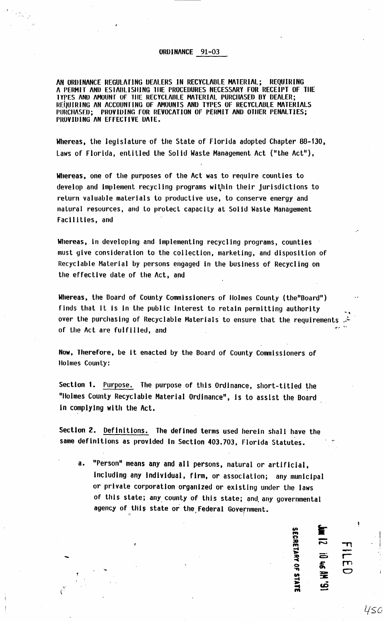AN ORDINANCE REGULATING DEALERS IN RECYCLADLE MATERIAL; REQUIRING A PERMIT AND ESTABLISHING THE PROCEDURES NECESSARY FOR RECEIPT OF THE TYPES AND AMOUNT OF THE RECYCLABLE MATERIAL PURCHASED BY DEALER; REQUIRING AN ACCOUNTING OF AMOUNTS AND TYPES OF RECYCLABLE MATERIALS PURCHASED; PROVIDING FOR REVOCATION OF PERMIT AND OTHER PENALTIES; PROVIDING AN EFFECTIVE DATE.

Whereas, the legislature of the State of Florida adopted Chapter 88-130, Laws of Florida, entitled the Solid Waste Management Act ("the Act"),

Whereas, one of the purposes of the Act was to require counties to develop and implement recycling programs within their jurisdictions to return valuable materials to productive use, to conserve energy and natural resources, and to protect capacity at Solid Waste Management Facilities, and

Whereas, in developing and implementing recycl Ing programs, counties must give consideration to the collection, marketing, and disposition of Recyclable Material by persons engaged in the business of Recycling on the effective date of the Act, and

Whereas, the Board of County Commissioners of llolmes County (the"Board") finds that It is in the public interest to retain permitting authority over the purchasing of Recyclable Materials to ensure that the requirements  $\mathbb{R}^n$ of the Act are fulfilled, and  $\frac{1}{2}$ .

Now, Therefore, be it enacted by the Board of County Commissioners of llolmes County:

Section 1. Purpose. The purpose of this Ordinance, short-titled the "llolmes County Recyclable Material Ordinance", ls to assist the Board In complying with the Act.

Section 2. Definitions. The defined terms used herein shall have the same definitions as provided in Section 403.703, Florida Statutes.

-

a. "Person" means any and all persons. natural or artificial, Including any individual, firm. or association; any municipal or private corporation organized or existing under the laws of this state; any county of this state; and any governmental agency of this state or the Federal Government.

<u>ဟ</u>  $\sum_{i=1}^{n}$ им 12<br>9<br>9508EI :D 46 PM<br>| 0 46 PM<br>| 10 W OF STATE 13<br>
14<br>
15<br>
16<br>
16<br>
16<br>
16<br>
16<br>
16<br>
16<br>
16

 $\mathcal{T}$  $\frac{1}{r}$ 

I  $\blacksquare$ 

450

rn *0*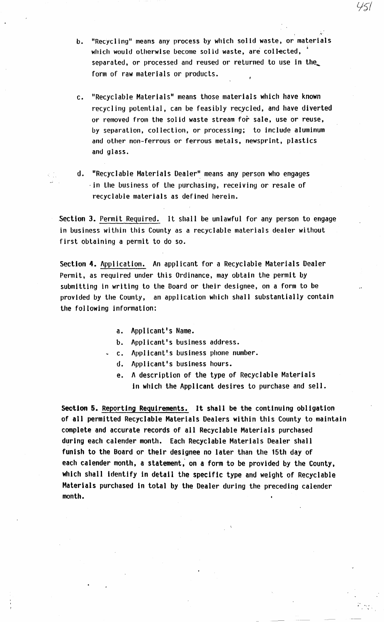- b. "Recycling" means any process by which solid waste, or materials which would otherwise become solid waste, are collected, separated, or processed and reused or returned to use in the\_ form of raw materials or products.
- c. "Recyclable Materials" means those materials which have known recycling potential, can be feasibly recycled, and have diverted or removed from the solid waste stream for sale, use or reuse, by separation, collection, or processing; to include aluminum and other non-ferrous or ferrous metals, newsprint, plastics and glass.
- d. "Recyclable Materials Dealer" means any person who engages ·in the business of the purchasing, receiving or resale of recyclable materials as defined herein.

.Section 3. Permit Required. It shall be unlawful for any person to engage in business within this County as a recyclable materials dealer without first obtaining a permit to do so.

Section 4. Application. An applicant for a Recyclable Materials Dealer Permit, as required under this Ordinance, may obtain the permit by submitting in writing to the Board or their designee, on a form to be provided by the County, an application which shall substantially contain the following information:

a. Applicant's Name.

b. Applicant's business address.

- c. Applicant's business phone number.
	- d. Applicant's business hours.
	- e. A description of the type of Recyclable Materials in which the Applicant desires to purchase and sell.

 $r_{\rm c}$   $\sim$  $\mathbb{C}^{\mathbb{C}}$ 

Section 5. Reporting Requirements. It shall be the continuing obligation of all permitted Recyclable Materials Dealers within this County to maintain complete and accurate records of all Recyclable Materials purchased during each calender month. Each Recyclable Materials Dealer shall funish to the Board or their designee no later than the 15th day of each calender month, a statement; on a form to be provided by the County, which shall identify in detail the specific type and weight of Recyclable Materials purchased in total by the Dealer during the preceding calender month.